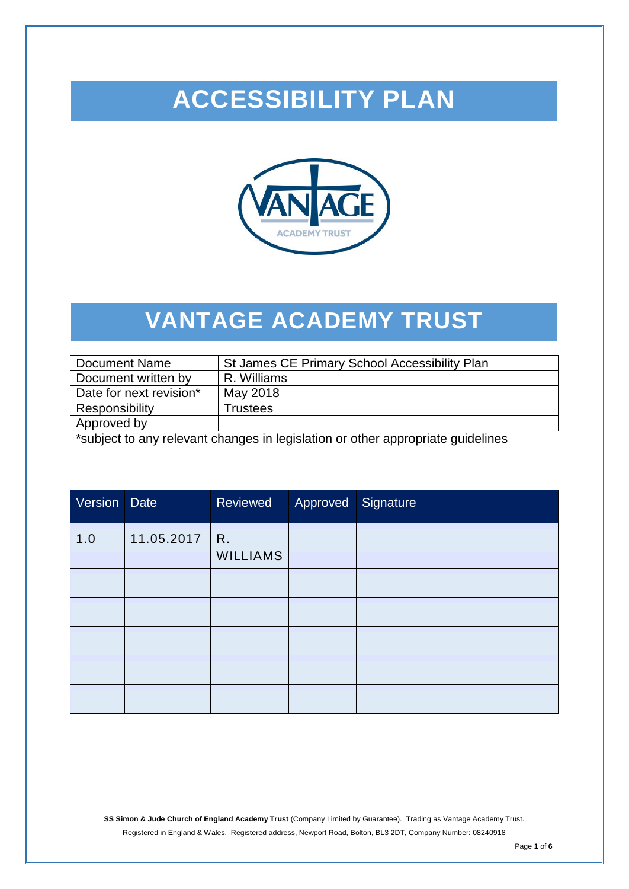# **ACCESSIBILITY PLAN**



## **VANTAGE ACADEMY TRUST**

| Document Name           | St James CE Primary School Accessibility Plan |
|-------------------------|-----------------------------------------------|
| Document written by     | R. Williams                                   |
| Date for next revision* | May 2018                                      |
| Responsibility          | <b>Frustees</b>                               |
| Approved by             |                                               |

\*subject to any relevant changes in legislation or other appropriate guidelines

| Version | <b>Date</b> | Reviewed              | Approved Signature |  |
|---------|-------------|-----------------------|--------------------|--|
| 1.0     | 11.05.2017  | R.<br><b>WILLIAMS</b> |                    |  |
|         |             |                       |                    |  |
|         |             |                       |                    |  |
|         |             |                       |                    |  |
|         |             |                       |                    |  |
|         |             |                       |                    |  |

**SS Simon & Jude Church of England Academy Trust** (Company Limited by Guarantee). Trading as Vantage Academy Trust. Registered in England & Wales. Registered address, Newport Road, Bolton, BL3 2DT, Company Number: 08240918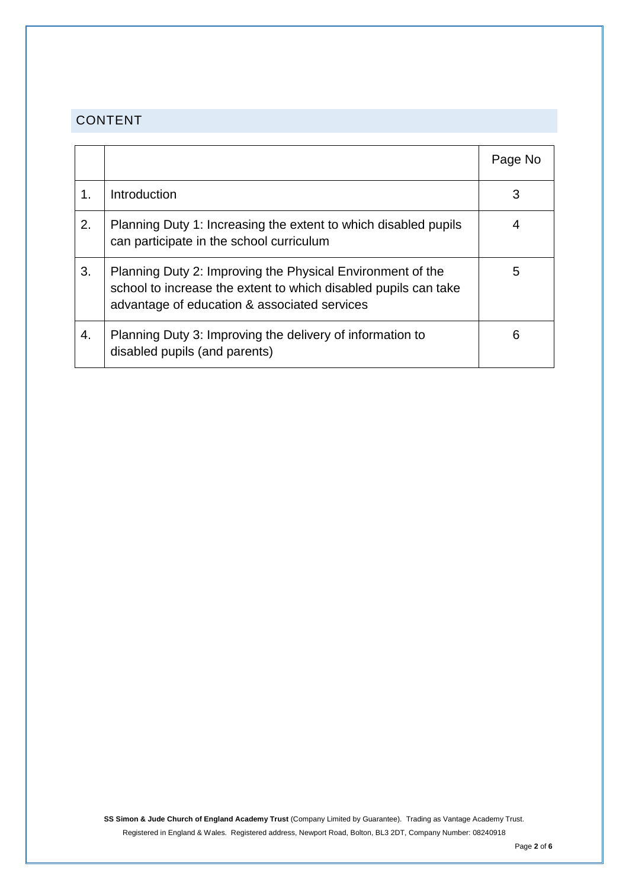### CONTENT

|    |                                                                                                                                                                               | Page No |
|----|-------------------------------------------------------------------------------------------------------------------------------------------------------------------------------|---------|
|    | Introduction                                                                                                                                                                  | 3       |
| 2. | Planning Duty 1: Increasing the extent to which disabled pupils<br>can participate in the school curriculum                                                                   |         |
| 3. | Planning Duty 2: Improving the Physical Environment of the<br>school to increase the extent to which disabled pupils can take<br>advantage of education & associated services | 5       |
| 4. | Planning Duty 3: Improving the delivery of information to<br>disabled pupils (and parents)                                                                                    | 6       |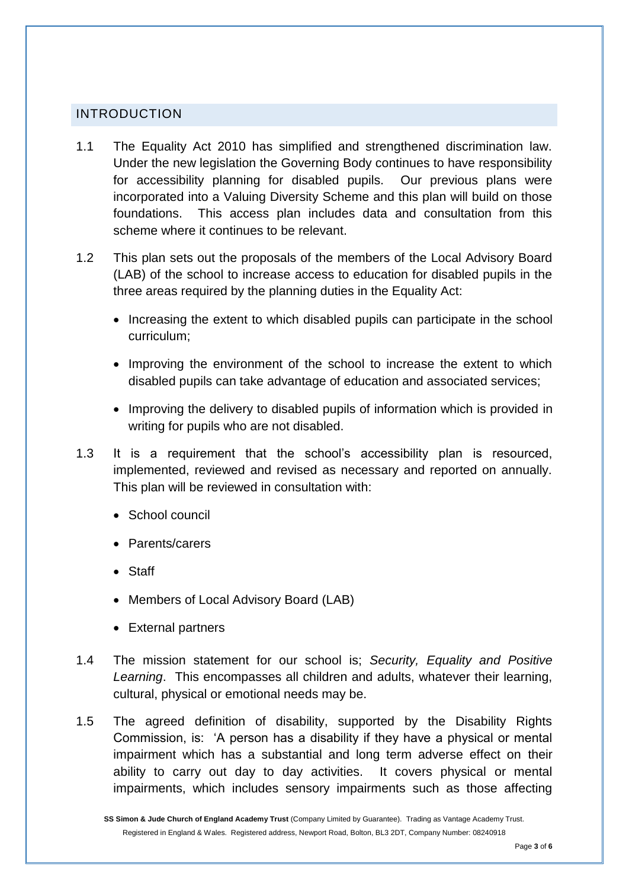#### INTRODUCTION

- 1.1 The Equality Act 2010 has simplified and strengthened discrimination law. Under the new legislation the Governing Body continues to have responsibility for accessibility planning for disabled pupils. Our previous plans were incorporated into a Valuing Diversity Scheme and this plan will build on those foundations. This access plan includes data and consultation from this scheme where it continues to be relevant.
- 1.2 This plan sets out the proposals of the members of the Local Advisory Board (LAB) of the school to increase access to education for disabled pupils in the three areas required by the planning duties in the Equality Act:
	- Increasing the extent to which disabled pupils can participate in the school curriculum;
	- Improving the environment of the school to increase the extent to which disabled pupils can take advantage of education and associated services;
	- Improving the delivery to disabled pupils of information which is provided in writing for pupils who are not disabled.
- 1.3 It is a requirement that the school's accessibility plan is resourced, implemented, reviewed and revised as necessary and reported on annually. This plan will be reviewed in consultation with:
	- School council
	- Parents/carers
	- Staff
	- Members of Local Advisory Board (LAB)
	- External partners
- 1.4 The mission statement for our school is; *Security, Equality and Positive Learning*. This encompasses all children and adults, whatever their learning, cultural, physical or emotional needs may be.
- 1.5 The agreed definition of disability, supported by the Disability Rights Commission, is: 'A person has a disability if they have a physical or mental impairment which has a substantial and long term adverse effect on their ability to carry out day to day activities. It covers physical or mental impairments, which includes sensory impairments such as those affecting

**SS Simon & Jude Church of England Academy Trust** (Company Limited by Guarantee). Trading as Vantage Academy Trust. Registered in England & Wales. Registered address, Newport Road, Bolton, BL3 2DT, Company Number: 08240918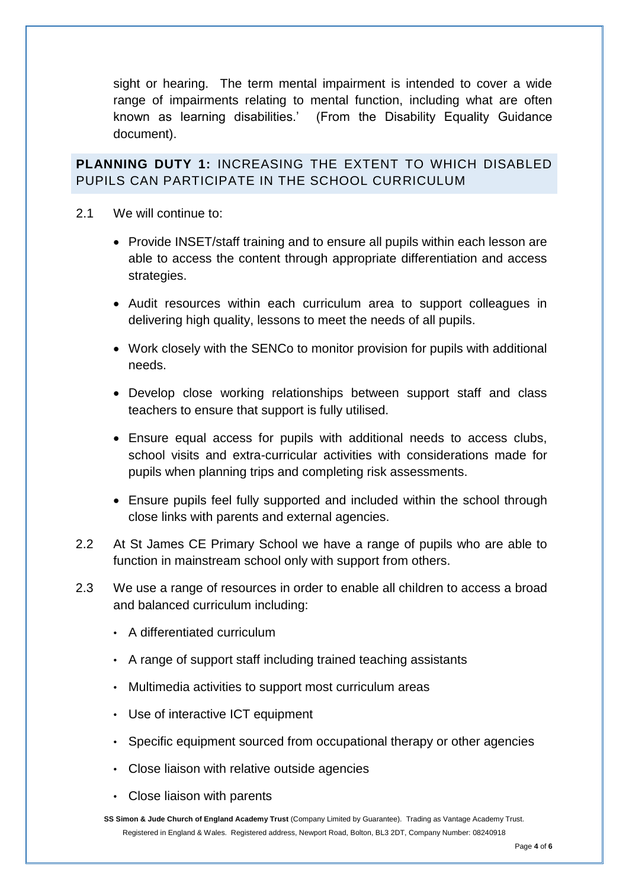sight or hearing. The term mental impairment is intended to cover a wide range of impairments relating to mental function, including what are often known as learning disabilities.' (From the Disability Equality Guidance document).

**PLANNING DUTY 1:** INCREASING THE EXTENT TO WHICH DISABLED PUPILS CAN PARTICIPATE IN THE SCHOOL CURRICULUM

- 2.1 We will continue to:
	- Provide INSET/staff training and to ensure all pupils within each lesson are able to access the content through appropriate differentiation and access strategies.
	- Audit resources within each curriculum area to support colleagues in delivering high quality, lessons to meet the needs of all pupils.
	- Work closely with the SENCo to monitor provision for pupils with additional needs.
	- Develop close working relationships between support staff and class teachers to ensure that support is fully utilised.
	- Ensure equal access for pupils with additional needs to access clubs, school visits and extra-curricular activities with considerations made for pupils when planning trips and completing risk assessments.
	- Ensure pupils feel fully supported and included within the school through close links with parents and external agencies.
- 2.2 At St James CE Primary School we have a range of pupils who are able to function in mainstream school only with support from others.
- 2.3 We use a range of resources in order to enable all children to access a broad and balanced curriculum including:
	- A differentiated curriculum
	- A range of support staff including trained teaching assistants
	- Multimedia activities to support most curriculum areas
	- Use of interactive ICT equipment
	- Specific equipment sourced from occupational therapy or other agencies
	- Close liaison with relative outside agencies
	- Close liaison with parents
	- **SS Simon & Jude Church of England Academy Trust** (Company Limited by Guarantee). Trading as Vantage Academy Trust. Registered in England & Wales. Registered address, Newport Road, Bolton, BL3 2DT, Company Number: 08240918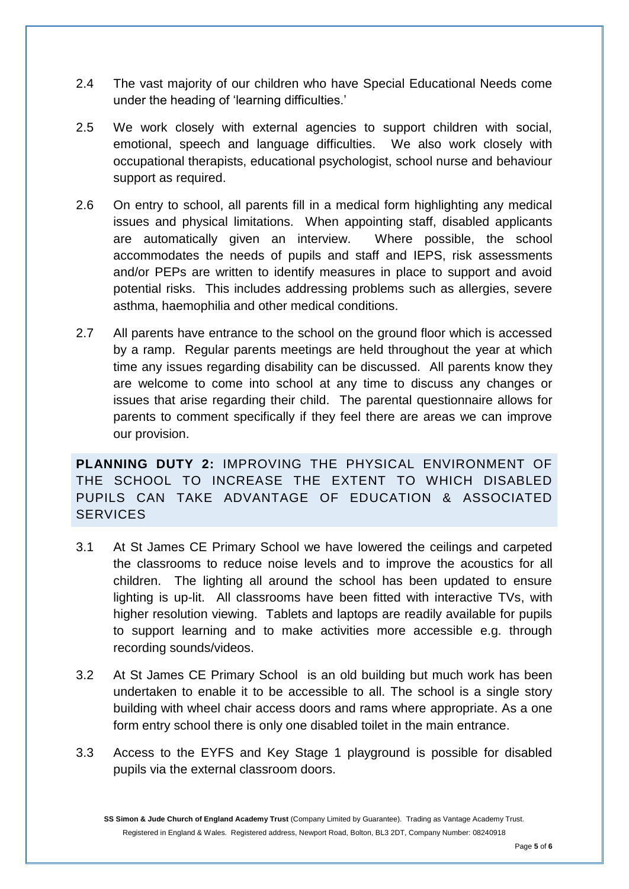- 2.4 The vast majority of our children who have Special Educational Needs come under the heading of 'learning difficulties.'
- 2.5 We work closely with external agencies to support children with social, emotional, speech and language difficulties. We also work closely with occupational therapists, educational psychologist, school nurse and behaviour support as required.
- 2.6 On entry to school, all parents fill in a medical form highlighting any medical issues and physical limitations. When appointing staff, disabled applicants are automatically given an interview. Where possible, the school accommodates the needs of pupils and staff and IEPS, risk assessments and/or PEPs are written to identify measures in place to support and avoid potential risks. This includes addressing problems such as allergies, severe asthma, haemophilia and other medical conditions.
- 2.7 All parents have entrance to the school on the ground floor which is accessed by a ramp. Regular parents meetings are held throughout the year at which time any issues regarding disability can be discussed. All parents know they are welcome to come into school at any time to discuss any changes or issues that arise regarding their child. The parental questionnaire allows for parents to comment specifically if they feel there are areas we can improve our provision.

**PLANNING DUTY 2:** IMPROVING THE PHYSICAL ENVIRONMENT OF THE SCHOOL TO INCREASE THE EXTENT TO WHICH DISABLED PUPILS CAN TAKE ADVANTAGE OF EDUCATION & ASSOCIATED **SERVICES** 

- 3.1 At St James CE Primary School we have lowered the ceilings and carpeted the classrooms to reduce noise levels and to improve the acoustics for all children. The lighting all around the school has been updated to ensure lighting is up-lit. All classrooms have been fitted with interactive TVs, with higher resolution viewing. Tablets and laptops are readily available for pupils to support learning and to make activities more accessible e.g. through recording sounds/videos.
- 3.2 At St James CE Primary School is an old building but much work has been undertaken to enable it to be accessible to all. The school is a single story building with wheel chair access doors and rams where appropriate. As a one form entry school there is only one disabled toilet in the main entrance.
- 3.3 Access to the EYFS and Key Stage 1 playground is possible for disabled pupils via the external classroom doors.

**SS Simon & Jude Church of England Academy Trust** (Company Limited by Guarantee). Trading as Vantage Academy Trust. Registered in England & Wales. Registered address, Newport Road, Bolton, BL3 2DT, Company Number: 08240918